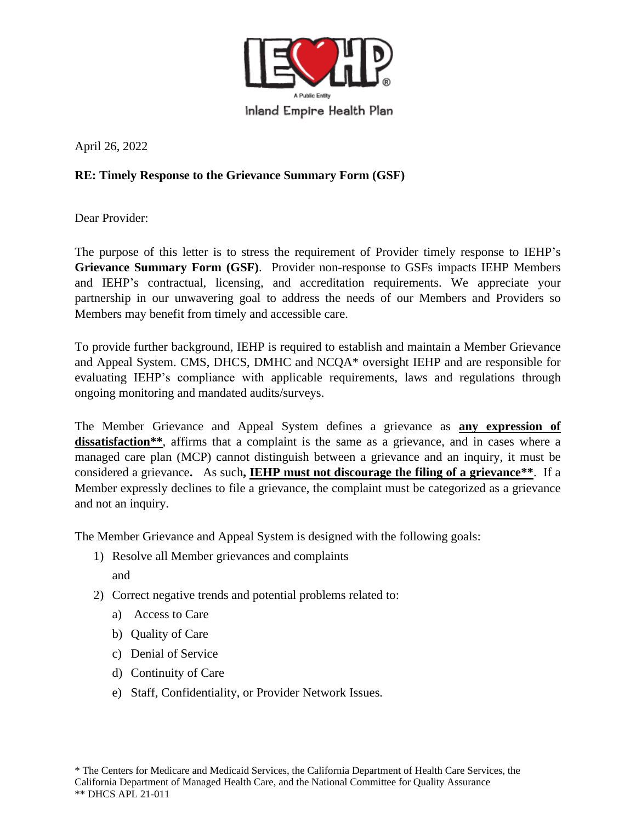

April 26, 2022

## **RE: Timely Response to the Grievance Summary Form (GSF)**

Dear Provider:

The purpose of this letter is to stress the requirement of Provider timely response to IEHP's **Grievance Summary Form (GSF)**. Provider non-response to GSFs impacts IEHP Members and IEHP's contractual, licensing, and accreditation requirements. We appreciate your partnership in our unwavering goal to address the needs of our Members and Providers so Members may benefit from timely and accessible care.

To provide further background, IEHP is required to establish and maintain a Member Grievance and Appeal System. CMS, DHCS, DMHC and NCQA\* oversight IEHP and are responsible for evaluating IEHP's compliance with applicable requirements, laws and regulations through ongoing monitoring and mandated audits/surveys.

The Member Grievance and Appeal System defines a grievance as **any expression of dissatisfaction\*\***, affirms that a complaint is the same as a grievance, and in cases where a managed care plan (MCP) cannot distinguish between a grievance and an inquiry, it must be considered a grievance**.** As such**, IEHP must not discourage the filing of a grievance\*\***. If a Member expressly declines to file a grievance, the complaint must be categorized as a grievance and not an inquiry.

The Member Grievance and Appeal System is designed with the following goals:

- 1) Resolve all Member grievances and complaints and
- 2) Correct negative trends and potential problems related to:
	- a) Access to Care
	- b) Quality of Care
	- c) Denial of Service
	- d) Continuity of Care
	- e) Staff, Confidentiality, or Provider Network Issues.